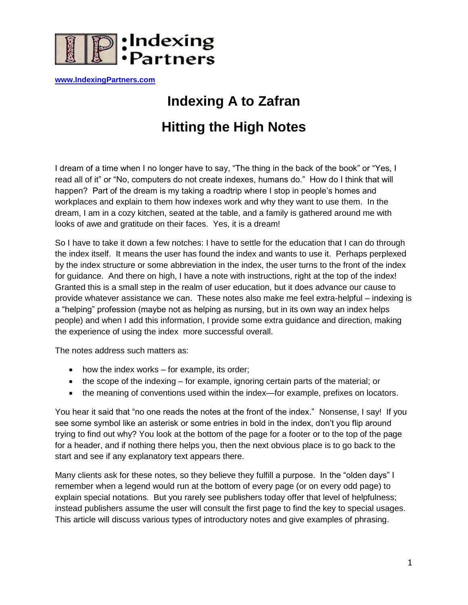

**[www.IndexingPartners.com](http://www.indexingpartners.com/)**

# **Indexing A to Zafran**

# **Hitting the High Notes**

I dream of a time when I no longer have to say, "The thing in the back of the book" or "Yes, I read all of it" or "No, computers do not create indexes, humans do." How do I think that will happen? Part of the dream is my taking a roadtrip where I stop in people's homes and workplaces and explain to them how indexes work and why they want to use them. In the dream, I am in a cozy kitchen, seated at the table, and a family is gathered around me with looks of awe and gratitude on their faces. Yes, it is a dream!

So I have to take it down a few notches: I have to settle for the education that I can do through the index itself. It means the user has found the index and wants to use it. Perhaps perplexed by the index structure or some abbreviation in the index, the user turns to the front of the index for guidance. And there on high, I have a note with instructions, right at the top of the index! Granted this is a small step in the realm of user education, but it does advance our cause to provide whatever assistance we can. These notes also make me feel extra-helpful – indexing is a "helping" profession (maybe not as helping as nursing, but in its own way an index helps people) and when I add this information, I provide some extra guidance and direction, making the experience of using the index more successful overall.

The notes address such matters as:

- how the index works for example, its order;
- the scope of the indexing for example, ignoring certain parts of the material; or
- the meaning of conventions used within the index—for example, prefixes on locators.

You hear it said that "no one reads the notes at the front of the index." Nonsense, I say! If you see some symbol like an asterisk or some entries in bold in the index, don't you flip around trying to find out why? You look at the bottom of the page for a footer or to the top of the page for a header, and if nothing there helps you, then the next obvious place is to go back to the start and see if any explanatory text appears there.

Many clients ask for these notes, so they believe they fulfill a purpose. In the "olden days" I remember when a legend would run at the bottom of every page (or on every odd page) to explain special notations. But you rarely see publishers today offer that level of helpfulness; instead publishers assume the user will consult the first page to find the key to special usages. This article will discuss various types of introductory notes and give examples of phrasing.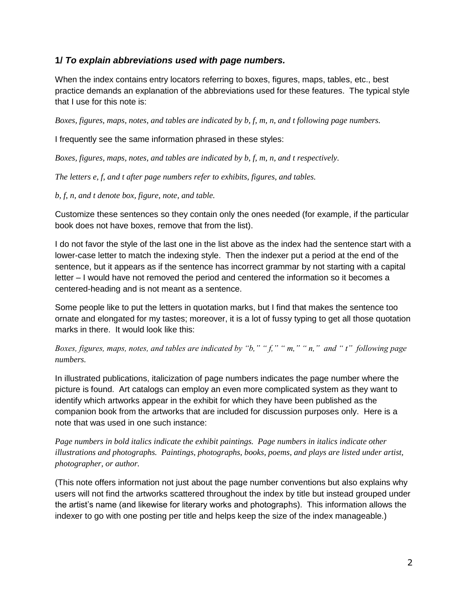## **1/** *To explain abbreviations used with page numbers.*

When the index contains entry locators referring to boxes, figures, maps, tables, etc., best practice demands an explanation of the abbreviations used for these features. The typical style that I use for this note is:

*Boxes, figures, maps, notes, and tables are indicated by b, f, m, n, and t following page numbers.*

I frequently see the same information phrased in these styles:

*Boxes, figures, maps, notes, and tables are indicated by b, f, m, n, and t respectively.*

*The letters e, f, and t after page numbers refer to exhibits, figures, and tables.*

*b, f, n, and t denote box, figure, note, and table.*

Customize these sentences so they contain only the ones needed (for example, if the particular book does not have boxes, remove that from the list).

I do not favor the style of the last one in the list above as the index had the sentence start with a lower-case letter to match the indexing style. Then the indexer put a period at the end of the sentence, but it appears as if the sentence has incorrect grammar by not starting with a capital letter – I would have not removed the period and centered the information so it becomes a centered-heading and is not meant as a sentence.

Some people like to put the letters in quotation marks, but I find that makes the sentence too ornate and elongated for my tastes; moreover, it is a lot of fussy typing to get all those quotation marks in there. It would look like this:

*Boxes, figures, maps, notes, and tables are indicated by "b," " f," " m," " n," and " t" following page numbers.*

In illustrated publications, italicization of page numbers indicates the page number where the picture is found. Art catalogs can employ an even more complicated system as they want to identify which artworks appear in the exhibit for which they have been published as the companion book from the artworks that are included for discussion purposes only. Here is a note that was used in one such instance:

*Page numbers in bold italics indicate the exhibit paintings. Page numbers in italics indicate other illustrations and photographs. Paintings, photographs, books, poems, and plays are listed under artist, photographer, or author.*

(This note offers information not just about the page number conventions but also explains why users will not find the artworks scattered throughout the index by title but instead grouped under the artist's name (and likewise for literary works and photographs). This information allows the indexer to go with one posting per title and helps keep the size of the index manageable.)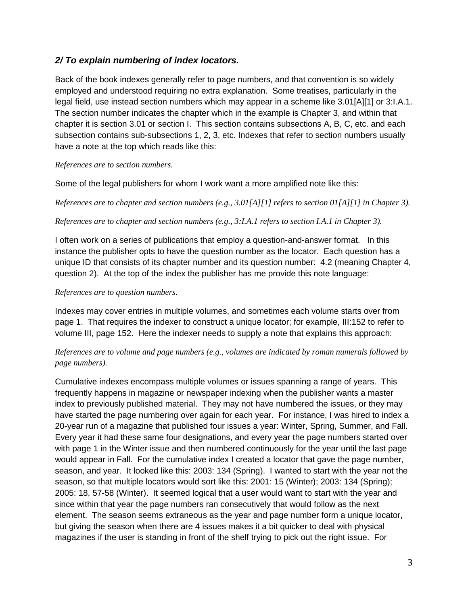## *2/ To explain numbering of index locators.*

Back of the book indexes generally refer to page numbers, and that convention is so widely employed and understood requiring no extra explanation. Some treatises, particularly in the legal field, use instead section numbers which may appear in a scheme like 3.01[A][1] or 3:l.A.1. The section number indicates the chapter which in the example is Chapter 3, and within that chapter it is section 3.01 or section I. This section contains subsections A, B, C, etc. and each subsection contains sub-subsections 1, 2, 3, etc. Indexes that refer to section numbers usually have a note at the top which reads like this:

#### *References are to section numbers.*

Some of the legal publishers for whom I work want a more amplified note like this:

*References are to chapter and section numbers (e.g., 3.01[A][1] refers to section 01[A][1] in Chapter 3).*

### *References are to chapter and section numbers (e.g., 3:I.A.1 refers to section I.A.1 in Chapter 3).*

I often work on a series of publications that employ a question-and-answer format. In this instance the publisher opts to have the question number as the locator. Each question has a unique ID that consists of its chapter number and its question number: 4.2 (meaning Chapter 4, question 2). At the top of the index the publisher has me provide this note language:

### *References are to question numbers.*

Indexes may cover entries in multiple volumes, and sometimes each volume starts over from page 1. That requires the indexer to construct a unique locator; for example, III:152 to refer to volume III, page 152. Here the indexer needs to supply a note that explains this approach:

## *References are to volume and page numbers (e.g., volumes are indicated by roman numerals followed by page numbers).*

Cumulative indexes encompass multiple volumes or issues spanning a range of years. This frequently happens in magazine or newspaper indexing when the publisher wants a master index to previously published material. They may not have numbered the issues, or they may have started the page numbering over again for each year. For instance, I was hired to index a 20-year run of a magazine that published four issues a year: Winter, Spring, Summer, and Fall. Every year it had these same four designations, and every year the page numbers started over with page 1 in the Winter issue and then numbered continuously for the year until the last page would appear in Fall. For the cumulative index I created a locator that gave the page number, season, and year. It looked like this: 2003: 134 (Spring). I wanted to start with the year not the season, so that multiple locators would sort like this: 2001: 15 (Winter); 2003: 134 (Spring); 2005: 18, 57-58 (Winter). It seemed logical that a user would want to start with the year and since within that year the page numbers ran consecutively that would follow as the next element. The season seems extraneous as the year and page number form a unique locator, but giving the season when there are 4 issues makes it a bit quicker to deal with physical magazines if the user is standing in front of the shelf trying to pick out the right issue. For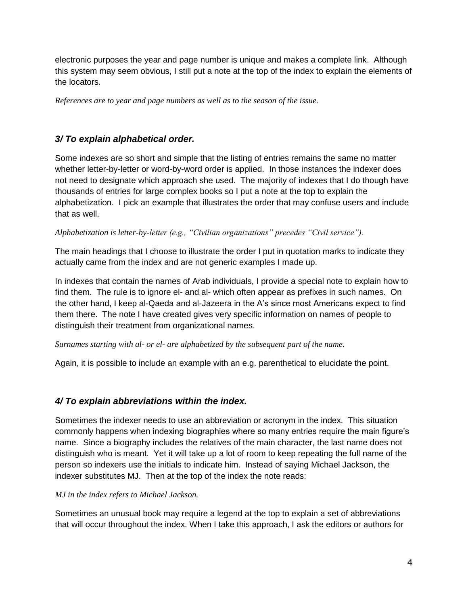electronic purposes the year and page number is unique and makes a complete link. Although this system may seem obvious, I still put a note at the top of the index to explain the elements of the locators.

*References are to year and page numbers as well as to the season of the issue.*

# *3/ To explain alphabetical order.*

Some indexes are so short and simple that the listing of entries remains the same no matter whether letter-by-letter or word-by-word order is applied. In those instances the indexer does not need to designate which approach she used. The majority of indexes that I do though have thousands of entries for large complex books so I put a note at the top to explain the alphabetization. I pick an example that illustrates the order that may confuse users and include that as well.

*Alphabetization is letter-by-letter (e.g., "Civilian organizations" precedes "Civil service").*

The main headings that I choose to illustrate the order I put in quotation marks to indicate they actually came from the index and are not generic examples I made up.

In indexes that contain the names of Arab individuals, I provide a special note to explain how to find them. The rule is to ignore el- and al- which often appear as prefixes in such names. On the other hand, I keep al-Qaeda and al-Jazeera in the A's since most Americans expect to find them there. The note I have created gives very specific information on names of people to distinguish their treatment from organizational names.

*Surnames starting with al- or el- are alphabetized by the subsequent part of the name.*

Again, it is possible to include an example with an e.g. parenthetical to elucidate the point.

# *4/ To explain abbreviations within the index.*

Sometimes the indexer needs to use an abbreviation or acronym in the index. This situation commonly happens when indexing biographies where so many entries require the main figure's name. Since a biography includes the relatives of the main character, the last name does not distinguish who is meant. Yet it will take up a lot of room to keep repeating the full name of the person so indexers use the initials to indicate him. Instead of saying Michael Jackson, the indexer substitutes MJ. Then at the top of the index the note reads:

## *MJ in the index refers to Michael Jackson.*

Sometimes an unusual book may require a legend at the top to explain a set of abbreviations that will occur throughout the index. When I take this approach, I ask the editors or authors for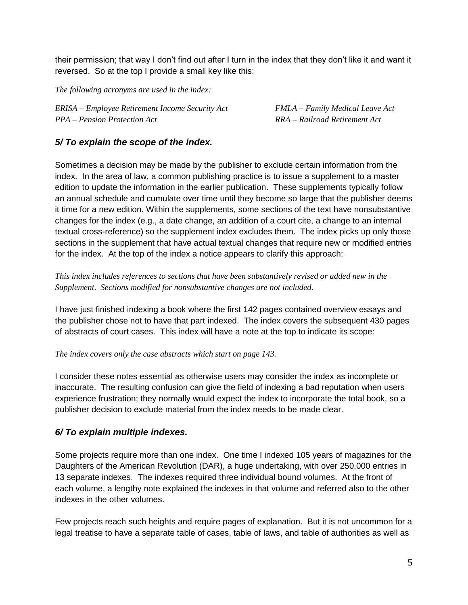their permission; that way I don't find out after I turn in the index that they don't like it and want it reversed. So at the top I provide a small key like this:

*The following acronyms are used in the index:*

*ERISA – Employee Retirement Income Security Act FMLA – Family Medical Leave Act PPA – Pension Protection Act RRA – Railroad Retirement Act*

## *5/ To explain the scope of the index.*

Sometimes a decision may be made by the publisher to exclude certain information from the index. In the area of law, a common publishing practice is to issue a supplement to a master edition to update the information in the earlier publication. These supplements typically follow an annual schedule and cumulate over time until they become so large that the publisher deems it time for a new edition. Within the supplements, some sections of the text have nonsubstantive changes for the index (e.g., a date change, an addition of a court cite, a change to an internal textual cross-reference) so the supplement index excludes them. The index picks up only those sections in the supplement that have actual textual changes that require new or modified entries for the index. At the top of the index a notice appears to clarify this approach:

### *This index includes references to sections that have been substantively revised or added new in the Supplement. Sections modified for nonsubstantive changes are not included.*

I have just finished indexing a book where the first 142 pages contained overview essays and the publisher chose not to have that part indexed. The index covers the subsequent 430 pages of abstracts of court cases. This index will have a note at the top to indicate its scope:

*The index covers only the case abstracts which start on page 143.*

I consider these notes essential as otherwise users may consider the index as incomplete or inaccurate. The resulting confusion can give the field of indexing a bad reputation when users experience frustration; they normally would expect the index to incorporate the total book, so a publisher decision to exclude material from the index needs to be made clear.

# *6/ To explain multiple indexes.*

Some projects require more than one index. One time I indexed 105 years of magazines for the Daughters of the American Revolution (DAR), a huge undertaking, with over 250,000 entries in 13 separate indexes. The indexes required three individual bound volumes. At the front of each volume, a lengthy note explained the indexes in that volume and referred also to the other indexes in the other volumes.

Few projects reach such heights and require pages of explanation. But it is not uncommon for a legal treatise to have a separate table of cases, table of laws, and table of authorities as well as